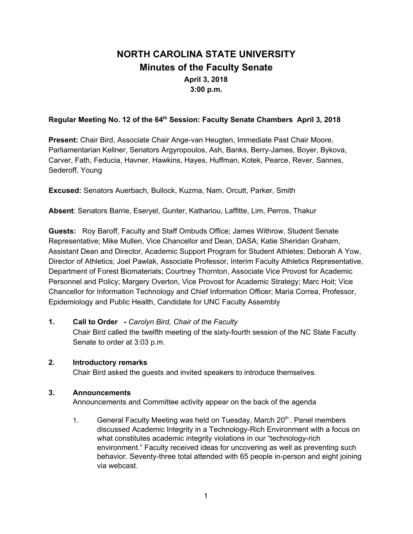# **NORTH CAROLINA STATE UNIVERSITY Minutes of the Faculty Senate April 3, 2018 3:00 p.m.**

## **Regular Meeting No. 12 of the 64 th Session: Faculty Senate Chambers April 3, 2018**

**Present:** Chair Bird, Associate Chair Ange-van Heugten, Immediate Past Chair Moore, Parliamentarian Kellner, Senators Argyropoulos, Ash, Banks, Berry-James, Boyer, Bykova, Carver, Fath, Feducia, Havner, Hawkins, Hayes, Huffman, Kotek, Pearce, Rever, Sannes, Sederoff, Young

**Excused:** Senators Auerbach, Bullock, Kuzma, Nam, Orcutt, Parker, Smith

**Absent**: Senators Barrie, Eseryel, Gunter, Kathariou, Laffitte, Lim, Perros, Thakur

**Guests:** Roy Baroff, Faculty and Staff Ombuds Office; James Withrow, Student Senate Representative; Mike Mullen, Vice Chancellor and Dean, DASA; Katie Sheridan Graham, Assistant Dean and Director, Academic Support Program for Student Athletes; Deborah A Yow, Director of Athletics; Joel Pawlak, Associate Professor, Interim Faculty Athletics Representative, Department of Forest Biomaterials; Courtney Thornton, Associate Vice Provost for Academic Personnel and Policy; Margery Overton, Vice Provost for Academic Strategy; Marc Hoit; Vice Chancellor for Information Technology and Chief Information Officer; Maria Correa, Professor, Epidemiology and Public Health, Candidate for UNC Faculty Assembly

## **1. Call to Order -** *Carolyn Bird, Chair of the Faculty*

Chair Bird called the twelfth meeting of the sixty-fourth session of the NC State Faculty Senate to order at 3:03 p.m.

#### **2. Introductory remarks**

Chair Bird asked the guests and invited speakers to introduce themselves.

#### **3. Announcements**

Announcements and Committee activity appear on the back of the agenda

1. General Faculty Meeting was held on Tuesday, March 20<sup>th</sup>. Panel members discussed Academic Integrity in a Technology-Rich Environment with a focus on what constitutes academic integrity violations in our "technology-rich environment." Faculty received ideas for uncovering as well as preventing such behavior*.* Seventy-three total attended with 65 people in-person and eight joining via webcast.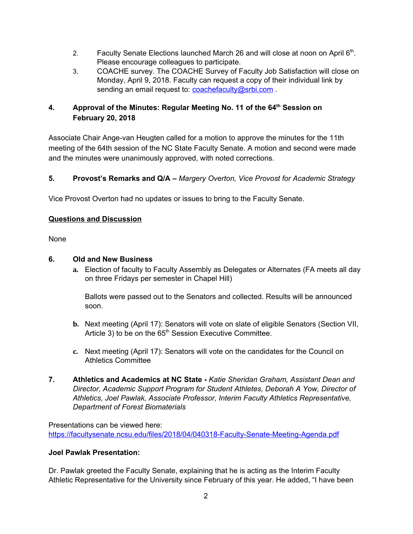- 2. Faculty Senate Elections launched March 26 and will close at noon on April  $6<sup>th</sup>$ . Please encourage colleagues to participate.
- 3. COACHE survey. The COACHE Survey of Faculty Job Satisfaction will close on Monday, April 9, 2018. Faculty can request a copy of their individual link by sending an email request to: [coachefaculty@srbi.com](mailto:coachefaculty@srbi.com).

## **4. Approval of the Minutes: Regular Meeting No. 11 of the 64 th Session on February 20, 2018**

Associate Chair Ange-van Heugten called for a motion to approve the minutes for the 11th meeting of the 64th session of the NC State Faculty Senate. A motion and second were made and the minutes were unanimously approved, with noted corrections.

## **5. Provost's Remarks and Q/A –** *Margery Overton, Vice Provost for Academic Strategy*

Vice Provost Overton had no updates or issues to bring to the Faculty Senate.

## **Questions and Discussion**

None

## **6. Old and New Business**

**a.** Election of faculty to Faculty Assembly as Delegates or Alternates (FA meets all day on three Fridays per semester in Chapel Hill)

Ballots were passed out to the Senators and collected. Results will be announced soon.

- **b.** Next meeting (April 17): Senators will vote on slate of eligible Senators (Section VII, Article 3) to be on the 65<sup>th</sup> Session Executive Committee.
- **c.** Next meeting (April 17): Senators will vote on the candidates for the Council on Athletics Committee
- **7. Athletics and Academics at NC State -** *Katie Sheridan Graham, Assistant Dean and Director, Academic Support Program for Student Athletes, Deborah A Yow, Director of Athletics, Joel Pawlak, Associate Professor, Interim Faculty Athletics Representative, Department of Forest Biomaterials*

Presentations can be viewed here: <https://facultysenate.ncsu.edu/files/2018/04/040318-Faculty-Senate-Meeting-Agenda.pdf>

## **Joel Pawlak Presentation:**

Dr. Pawlak greeted the Faculty Senate, explaining that he is acting as the Interim Faculty Athletic Representative for the University since February of this year. He added, "I have been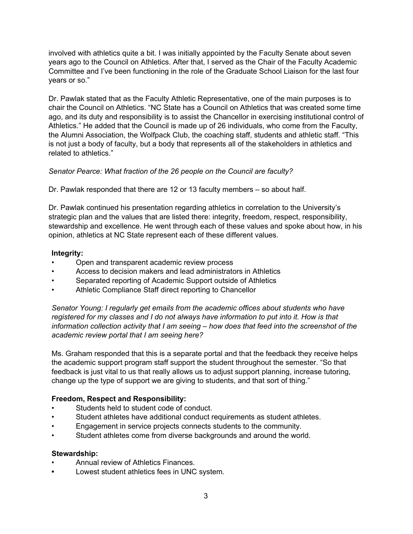involved with athletics quite a bit. I was initially appointed by the Faculty Senate about seven years ago to the Council on Athletics. After that, I served as the Chair of the Faculty Academic Committee and I've been functioning in the role of the Graduate School Liaison for the last four years or so."

Dr. Pawlak stated that as the Faculty Athletic Representative, one of the main purposes is to chair the Council on Athletics. "NC State has a Council on Athletics that was created some time ago, and its duty and responsibility is to assist the Chancellor in exercising institutional control of Athletics." He added that the Council is made up of 26 individuals, who come from the Faculty, the Alumni Association, the Wolfpack Club, the coaching staff, students and athletic staff. "This is not just a body of faculty, but a body that represents all of the stakeholders in athletics and related to athletics."

## *Senator Pearce: What fraction of the 26 people on the Council are faculty?*

Dr. Pawlak responded that there are 12 or 13 faculty members – so about half.

Dr. Pawlak continued his presentation regarding athletics in correlation to the University's strategic plan and the values that are listed there: integrity, freedom, respect, responsibility, stewardship and excellence. He went through each of these values and spoke about how, in his opinion, athletics at NC State represent each of these different values.

#### **Integrity:**

- Open and transparent academic review process
- Access to decision makers and lead administrators in Athletics
- Separated reporting of Academic Support outside of Athletics
- Athletic Compliance Staff direct reporting to Chancellor

*Senator Young: I regularly get emails from the academic offices about students who have registered for my classes and I do not always have information to put into it. How is that information collection activity that I am seeing – how does that feed into the screenshot of the academic review portal that I am seeing here?*

Ms. Graham responded that this is a separate portal and that the feedback they receive helps the academic support program staff support the student throughout the semester. "So that feedback is just vital to us that really allows us to adjust support planning, increase tutoring, change up the type of support we are giving to students, and that sort of thing."

#### **Freedom, Respect and Responsibility:**

- Students held to student code of conduct.
- Student athletes have additional conduct requirements as student athletes.
- Engagement in service projects connects students to the community.
- Student athletes come from diverse backgrounds and around the world.

#### **Stewardship:**

- Annual review of Athletics Finances.
- **•** Lowest student athletics fees in UNC system.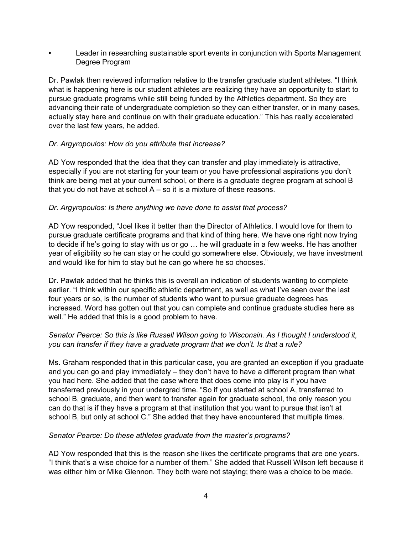**•** Leader in researching sustainable sport events in conjunction with Sports Management Degree Program

Dr. Pawlak then reviewed information relative to the transfer graduate student athletes. "I think what is happening here is our student athletes are realizing they have an opportunity to start to pursue graduate programs while still being funded by the Athletics department. So they are advancing their rate of undergraduate completion so they can either transfer, or in many cases, actually stay here and continue on with their graduate education." This has really accelerated over the last few years, he added.

#### *Dr. Argyropoulos: How do you attribute that increase?*

AD Yow responded that the idea that they can transfer and play immediately is attractive, especially if you are not starting for your team or you have professional aspirations you don't think are being met at your current school, or there is a graduate degree program at school B that you do not have at school  $A - so$  it is a mixture of these reasons.

#### *Dr. Argyropoulos: Is there anything we have done to assist that process?*

AD Yow responded, "Joel likes it better than the Director of Athletics. I would love for them to pursue graduate certificate programs and that kind of thing here. We have one right now trying to decide if he's going to stay with us or go … he will graduate in a few weeks. He has another year of eligibility so he can stay or he could go somewhere else. Obviously, we have investment and would like for him to stay but he can go where he so chooses."

Dr. Pawlak added that he thinks this is overall an indication of students wanting to complete earlier. "I think within our specific athletic department, as well as what I've seen over the last four years or so, is the number of students who want to pursue graduate degrees has increased. Word has gotten out that you can complete and continue graduate studies here as well." He added that this is a good problem to have.

#### *Senator Pearce: So this is like Russell Wilson going to Wisconsin. As I thought I understood it, you can transfer if they have a graduate program that we don't. Is that a rule?*

Ms. Graham responded that in this particular case, you are granted an exception if you graduate and you can go and play immediately – they don't have to have a different program than what you had here. She added that the case where that does come into play is if you have transferred previously in your undergrad time. "So if you started at school A, transferred to school B, graduate, and then want to transfer again for graduate school, the only reason you can do that is if they have a program at that institution that you want to pursue that isn't at school B, but only at school C." She added that they have encountered that multiple times.

#### *Senator Pearce: Do these athletes graduate from the master's programs?*

AD Yow responded that this is the reason she likes the certificate programs that are one years. "I think that's a wise choice for a number of them." She added that Russell Wilson left because it was either him or Mike Glennon. They both were not staying; there was a choice to be made.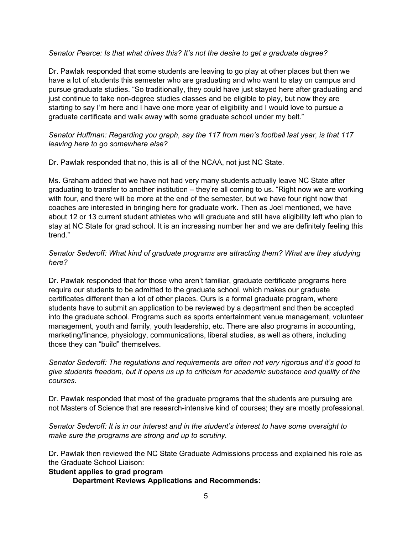#### *Senator Pearce: Is that what drives this? It's not the desire to get a graduate degree?*

Dr. Pawlak responded that some students are leaving to go play at other places but then we have a lot of students this semester who are graduating and who want to stay on campus and pursue graduate studies. "So traditionally, they could have just stayed here after graduating and just continue to take non-degree studies classes and be eligible to play, but now they are starting to say I'm here and I have one more year of eligibility and I would love to pursue a graduate certificate and walk away with some graduate school under my belt."

#### *Senator Huffman: Regarding you graph, say the 117 from men's football last year, is that 117 leaving here to go somewhere else?*

#### Dr. Pawlak responded that no, this is all of the NCAA, not just NC State.

Ms. Graham added that we have not had very many students actually leave NC State after graduating to transfer to another institution – they're all coming to us. "Right now we are working with four, and there will be more at the end of the semester, but we have four right now that coaches are interested in bringing here for graduate work. Then as Joel mentioned, we have about 12 or 13 current student athletes who will graduate and still have eligibility left who plan to stay at NC State for grad school. It is an increasing number her and we are definitely feeling this trend."

#### *Senator Sederoff: What kind of graduate programs are attracting them? What are they studying here?*

Dr. Pawlak responded that for those who aren't familiar, graduate certificate programs here require our students to be admitted to the graduate school, which makes our graduate certificates different than a lot of other places. Ours is a formal graduate program, where students have to submit an application to be reviewed by a department and then be accepted into the graduate school. Programs such as sports entertainment venue management, volunteer management, youth and family, youth leadership, etc. There are also programs in accounting, marketing/finance, physiology, communications, liberal studies, as well as others, including those they can "build" themselves.

*Senator Sederoff: The regulations and requirements are often not very rigorous and it's good to give students freedom, but it opens us up to criticism for academic substance and quality of the courses.*

Dr. Pawlak responded that most of the graduate programs that the students are pursuing are not Masters of Science that are research-intensive kind of courses; they are mostly professional.

*Senator Sederoff: It is in our interest and in the student's interest to have some oversight to make sure the programs are strong and up to scrutiny.*

Dr. Pawlak then reviewed the NC State Graduate Admissions process and explained his role as the Graduate School Liaison:

#### **Student applies to grad program**

**Department Reviews Applications and Recommends:**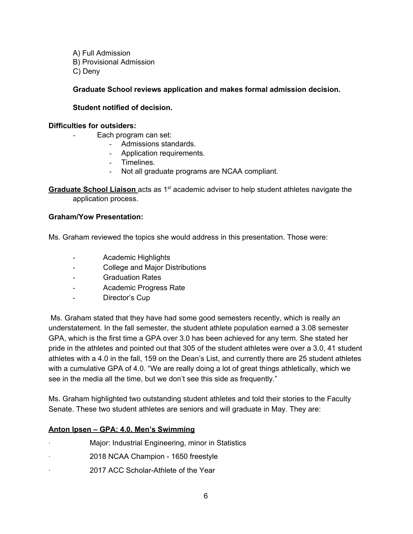A) Full Admission B) Provisional Admission C) Deny

#### **Graduate School reviews application and makes formal admission decision.**

#### **Student notified of decision.**

#### **Difficulties for outsiders:**

- Each program can set:
	- Admissions standards.
	- Application requirements.
	- Timelines.
	- Not all graduate programs are NCAA compliant.

**Graduate School Liaison** acts as 1<sup>st</sup> academic adviser to help student athletes navigate the application process.

#### **Graham/Yow Presentation:**

Ms. Graham reviewed the topics she would address in this presentation. Those were:

- Academic Highlights
- College and Major Distributions
- Graduation Rates
- Academic Progress Rate
- Director's Cup

Ms. Graham stated that they have had some good semesters recently, which is really an understatement. In the fall semester, the student athlete population earned a 3.08 semester GPA, which is the first time a GPA over 3.0 has been achieved for any term. She stated her pride in the athletes and pointed out that 305 of the student athletes were over a 3.0, 41 student athletes with a 4.0 in the fall, 159 on the Dean's List, and currently there are 25 student athletes with a cumulative GPA of 4.0. "We are really doing a lot of great things athletically, which we see in the media all the time, but we don't see this side as frequently."

Ms. Graham highlighted two outstanding student athletes and told their stories to the Faculty Senate. These two student athletes are seniors and will graduate in May. They are:

#### **Anton Ipsen – GPA: 4.0, Men's Swimming**

- Major: Industrial Engineering, minor in Statistics
- · 2018 NCAA Champion 1650 freestyle
- · 2017 ACC Scholar-Athlete of the Year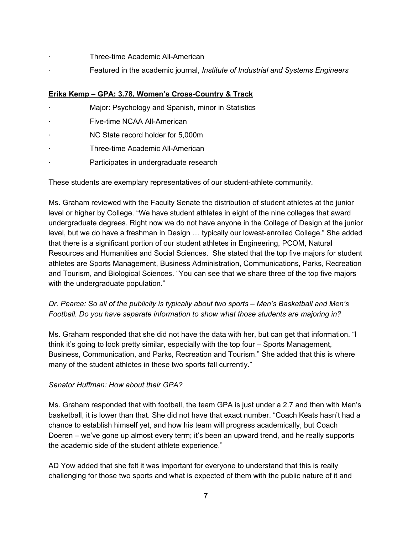- Three-time Academic All-American
- · Featured in the academic journal, *Institute of Industrial and Systems Engineers*

## **Erika Kemp – GPA: 3.78, Women's Cross-Country & Track**

- Major: Psychology and Spanish, minor in Statistics
- Five-time NCAA All-American
- NC State record holder for 5,000m
- Three-time Academic All-American
- Participates in undergraduate research

These students are exemplary representatives of our student-athlete community.

Ms. Graham reviewed with the Faculty Senate the distribution of student athletes at the junior level or higher by College. "We have student athletes in eight of the nine colleges that award undergraduate degrees. Right now we do not have anyone in the College of Design at the junior level, but we do have a freshman in Design … typically our lowest-enrolled College." She added that there is a significant portion of our student athletes in Engineering, PCOM, Natural Resources and Humanities and Social Sciences. She stated that the top five majors for student athletes are Sports Management, Business Administration, Communications, Parks, Recreation and Tourism, and Biological Sciences. "You can see that we share three of the top five majors with the undergraduate population."

## *Dr. Pearce: So all of the publicity is typically about two sports – Men's Basketball and Men's Football. Do you have separate information to show what those students are majoring in?*

Ms. Graham responded that she did not have the data with her, but can get that information. "I think it's going to look pretty similar, especially with the top four – Sports Management, Business, Communication, and Parks, Recreation and Tourism." She added that this is where many of the student athletes in these two sports fall currently."

## *Senator Huffman: How about their GPA?*

Ms. Graham responded that with football, the team GPA is just under a 2.7 and then with Men's basketball, it is lower than that. She did not have that exact number. "Coach Keats hasn't had a chance to establish himself yet, and how his team will progress academically, but Coach Doeren – we've gone up almost every term; it's been an upward trend, and he really supports the academic side of the student athlete experience."

AD Yow added that she felt it was important for everyone to understand that this is really challenging for those two sports and what is expected of them with the public nature of it and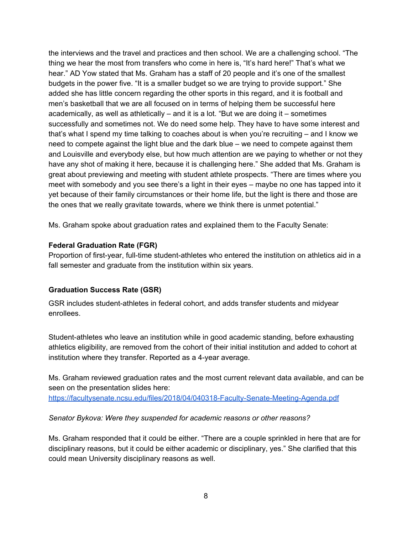the interviews and the travel and practices and then school. We are a challenging school. "The thing we hear the most from transfers who come in here is, "It's hard here!" That's what we hear." AD Yow stated that Ms. Graham has a staff of 20 people and it's one of the smallest budgets in the power five. "It is a smaller budget so we are trying to provide support." She added she has little concern regarding the other sports in this regard, and it is football and men's basketball that we are all focused on in terms of helping them be successful here academically, as well as athletically – and it is a lot. "But we are doing it – sometimes successfully and sometimes not. We do need some help. They have to have some interest and that's what I spend my time talking to coaches about is when you're recruiting – and I know we need to compete against the light blue and the dark blue – we need to compete against them and Louisville and everybody else, but how much attention are we paying to whether or not they have any shot of making it here, because it is challenging here." She added that Ms. Graham is great about previewing and meeting with student athlete prospects. "There are times where you meet with somebody and you see there's a light in their eyes – maybe no one has tapped into it yet because of their family circumstances or their home life, but the light is there and those are the ones that we really gravitate towards, where we think there is unmet potential."

Ms. Graham spoke about graduation rates and explained them to the Faculty Senate:

#### **Federal Graduation Rate (FGR)**

Proportion of first-year, full-time student-athletes who entered the institution on athletics aid in a fall semester and graduate from the institution within six years.

## **Graduation Success Rate (GSR)**

GSR includes student-athletes in federal cohort, and adds transfer students and midyear enrollees.

Student-athletes who leave an institution while in good academic standing, before exhausting athletics eligibility, are removed from the cohort of their initial institution and added to cohort at institution where they transfer. Reported as a 4-year average.

Ms. Graham reviewed graduation rates and the most current relevant data available, and can be seen on the presentation slides here:

<https://facultysenate.ncsu.edu/files/2018/04/040318-Faculty-Senate-Meeting-Agenda.pdf>

#### *Senator Bykova: Were they suspended for academic reasons or other reasons?*

Ms. Graham responded that it could be either. "There are a couple sprinkled in here that are for disciplinary reasons, but it could be either academic or disciplinary, yes." She clarified that this could mean University disciplinary reasons as well.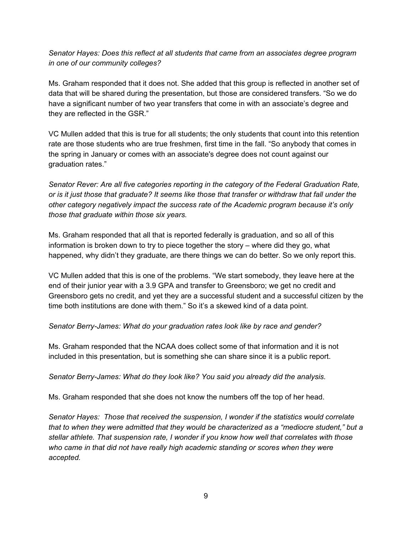## *Senator Hayes: Does this reflect at all students that came from an associates degree program in one of our community colleges?*

Ms. Graham responded that it does not. She added that this group is reflected in another set of data that will be shared during the presentation, but those are considered transfers. "So we do have a significant number of two year transfers that come in with an associate's degree and they are reflected in the GSR."

VC Mullen added that this is true for all students; the only students that count into this retention rate are those students who are true freshmen, first time in the fall. "So anybody that comes in the spring in January or comes with an associate's degree does not count against our graduation rates."

*Senator Rever: Are all five categories reporting in the category of the Federal Graduation Rate,* or is it just those that graduate? It seems like those that transfer or withdraw that fall under the *other category negatively impact the success rate of the Academic program because it's only those that graduate within those six years.*

Ms. Graham responded that all that is reported federally is graduation, and so all of this information is broken down to try to piece together the story – where did they go, what happened, why didn't they graduate, are there things we can do better. So we only report this.

VC Mullen added that this is one of the problems. "We start somebody, they leave here at the end of their junior year with a 3.9 GPA and transfer to Greensboro; we get no credit and Greensboro gets no credit, and yet they are a successful student and a successful citizen by the time both institutions are done with them." So it's a skewed kind of a data point.

## *Senator Berry-James: What do your graduation rates look like by race and gender?*

Ms. Graham responded that the NCAA does collect some of that information and it is not included in this presentation, but is something she can share since it is a public report.

*Senator Berry-James: What do they look like? You said you already did the analysis.*

Ms. Graham responded that she does not know the numbers off the top of her head.

*Senator Hayes: Those that received the suspension, I wonder if the statistics would correlate that to when they were admitted that they would be characterized as a "mediocre student," but a stellar athlete. That suspension rate, I wonder if you know how well that correlates with those who came in that did not have really high academic standing or scores when they were accepted.*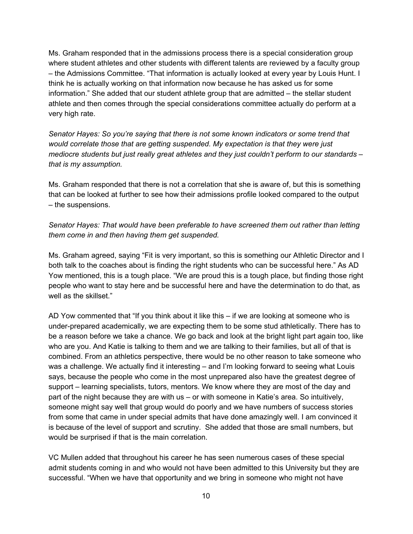Ms. Graham responded that in the admissions process there is a special consideration group where student athletes and other students with different talents are reviewed by a faculty group – the Admissions Committee. "That information is actually looked at every year by Louis Hunt. I think he is actually working on that information now because he has asked us for some information." She added that our student athlete group that are admitted – the stellar student athlete and then comes through the special considerations committee actually do perform at a very high rate.

*Senator Hayes: So you're saying that there is not some known indicators or some trend that would correlate those that are getting suspended. My expectation is that they were just mediocre students but just really great athletes and they just couldn't perform to our standards – that is my assumption.*

Ms. Graham responded that there is not a correlation that she is aware of, but this is something that can be looked at further to see how their admissions profile looked compared to the output – the suspensions.

*Senator Hayes: That would have been preferable to have screened them out rather than letting them come in and then having them get suspended.*

Ms. Graham agreed, saying "Fit is very important, so this is something our Athletic Director and I both talk to the coaches about is finding the right students who can be successful here." As AD Yow mentioned, this is a tough place. "We are proud this is a tough place, but finding those right people who want to stay here and be successful here and have the determination to do that, as well as the skillset."

AD Yow commented that "If you think about it like this – if we are looking at someone who is under-prepared academically, we are expecting them to be some stud athletically. There has to be a reason before we take a chance. We go back and look at the bright light part again too, like who are you. And Katie is talking to them and we are talking to their families, but all of that is combined. From an athletics perspective, there would be no other reason to take someone who was a challenge. We actually find it interesting – and I'm looking forward to seeing what Louis says, because the people who come in the most unprepared also have the greatest degree of support – learning specialists, tutors, mentors. We know where they are most of the day and part of the night because they are with us – or with someone in Katie's area. So intuitively, someone might say well that group would do poorly and we have numbers of success stories from some that came in under special admits that have done amazingly well. I am convinced it is because of the level of support and scrutiny. She added that those are small numbers, but would be surprised if that is the main correlation.

VC Mullen added that throughout his career he has seen numerous cases of these special admit students coming in and who would not have been admitted to this University but they are successful. "When we have that opportunity and we bring in someone who might not have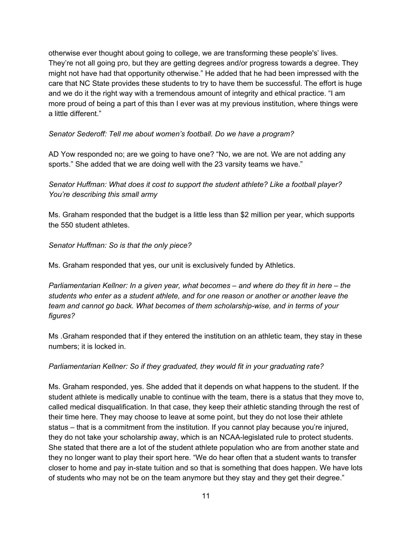otherwise ever thought about going to college, we are transforming these people's' lives. They're not all going pro, but they are getting degrees and/or progress towards a degree. They might not have had that opportunity otherwise." He added that he had been impressed with the care that NC State provides these students to try to have them be successful. The effort is huge and we do it the right way with a tremendous amount of integrity and ethical practice. "I am more proud of being a part of this than I ever was at my previous institution, where things were a little different."

#### *Senator Sederoff: Tell me about women's football. Do we have a program?*

AD Yow responded no; are we going to have one? "No, we are not. We are not adding any sports." She added that we are doing well with the 23 varsity teams we have."

*Senator Huffman: What does it cost to support the student athlete? Like a football player? You're describing this small army*

Ms. Graham responded that the budget is a little less than \$2 million per year, which supports the 550 student athletes.

*Senator Huffman: So is that the only piece?*

Ms. Graham responded that yes, our unit is exclusively funded by Athletics.

*Parliamentarian Kellner: In a given year, what becomes – and where do they fit in here – the students who enter as a student athlete, and for one reason or another or another leave the team and cannot go back. What becomes of them scholarship-wise, and in terms of your figures?*

Ms .Graham responded that if they entered the institution on an athletic team, they stay in these numbers; it is locked in.

## *Parliamentarian Kellner: So if they graduated, they would fit in your graduating rate?*

Ms. Graham responded, yes. She added that it depends on what happens to the student. If the student athlete is medically unable to continue with the team, there is a status that they move to, called medical disqualification. In that case, they keep their athletic standing through the rest of their time here. They may choose to leave at some point, but they do not lose their athlete status – that is a commitment from the institution. If you cannot play because you're injured, they do not take your scholarship away, which is an NCAA-legislated rule to protect students. She stated that there are a lot of the student athlete population who are from another state and they no longer want to play their sport here. "We do hear often that a student wants to transfer closer to home and pay in-state tuition and so that is something that does happen. We have lots of students who may not be on the team anymore but they stay and they get their degree."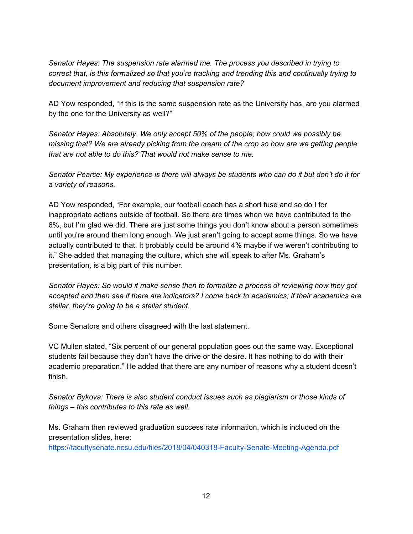*Senator Hayes: The suspension rate alarmed me. The process you described in trying to correct that, is this formalized so that you're tracking and trending this and continually trying to document improvement and reducing that suspension rate?*

AD Yow responded, "If this is the same suspension rate as the University has, are you alarmed by the one for the University as well?"

*Senator Hayes: Absolutely. We only accept 50% of the people; how could we possibly be missing that? We are already picking from the cream of the crop so how are we getting people that are not able to do this? That would not make sense to me.*

Senator Pearce: My experience is there will always be students who can do it but don't do it for *a variety of reasons.*

AD Yow responded, "For example, our football coach has a short fuse and so do I for inappropriate actions outside of football. So there are times when we have contributed to the 6%, but I'm glad we did. There are just some things you don't know about a person sometimes until you're around them long enough. We just aren't going to accept some things. So we have actually contributed to that. It probably could be around 4% maybe if we weren't contributing to it." She added that managing the culture, which she will speak to after Ms. Graham's presentation, is a big part of this number.

*Senator Hayes: So would it make sense then to formalize a process of reviewing how they got accepted and then see if there are indicators? I come back to academics; if their academics are stellar, they're going to be a stellar student.*

Some Senators and others disagreed with the last statement.

VC Mullen stated, "Six percent of our general population goes out the same way. Exceptional students fail because they don't have the drive or the desire. It has nothing to do with their academic preparation." He added that there are any number of reasons why a student doesn't finish.

*Senator Bykova: There is also student conduct issues such as plagiarism or those kinds of things – this contributes to this rate as well.*

Ms. Graham then reviewed graduation success rate information, which is included on the presentation slides, here:

<https://facultysenate.ncsu.edu/files/2018/04/040318-Faculty-Senate-Meeting-Agenda.pdf>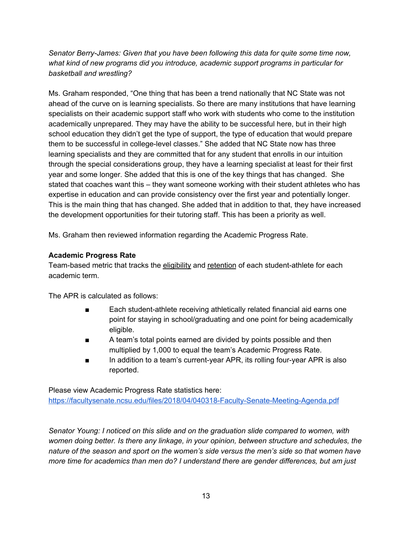*Senator Berry-James: Given that you have been following this data for quite some time now, what kind of new programs did you introduce, academic support programs in particular for basketball and wrestling?*

Ms. Graham responded, "One thing that has been a trend nationally that NC State was not ahead of the curve on is learning specialists. So there are many institutions that have learning specialists on their academic support staff who work with students who come to the institution academically unprepared. They may have the ability to be successful here, but in their high school education they didn't get the type of support, the type of education that would prepare them to be successful in college-level classes." She added that NC State now has three learning specialists and they are committed that for any student that enrolls in our intuition through the special considerations group, they have a learning specialist at least for their first year and some longer. She added that this is one of the key things that has changed. She stated that coaches want this – they want someone working with their student athletes who has expertise in education and can provide consistency over the first year and potentially longer. This is the main thing that has changed. She added that in addition to that, they have increased the development opportunities for their tutoring staff. This has been a priority as well.

Ms. Graham then reviewed information regarding the Academic Progress Rate.

## **Academic Progress Rate**

Team-based metric that tracks the eligibility and retention of each student-athlete for each academic term.

The APR is calculated as follows:

- Each student-athlete receiving athletically related financial aid earns one point for staying in school/graduating and one point for being academically eligible.
- A team's total points earned are divided by points possible and then multiplied by 1,000 to equal the team's Academic Progress Rate.
- In addition to a team's current-year APR, its rolling four-year APR is also reported.

Please view Academic Progress Rate statistics here: <https://facultysenate.ncsu.edu/files/2018/04/040318-Faculty-Senate-Meeting-Agenda.pdf>

*Senator Young: I noticed on this slide and on the graduation slide compared to women, with women doing better. Is there any linkage, in your opinion, between structure and schedules, the nature of the season and sport on the women's side versus the men's side so that women have more time for academics than men do? I understand there are gender differences, but am just*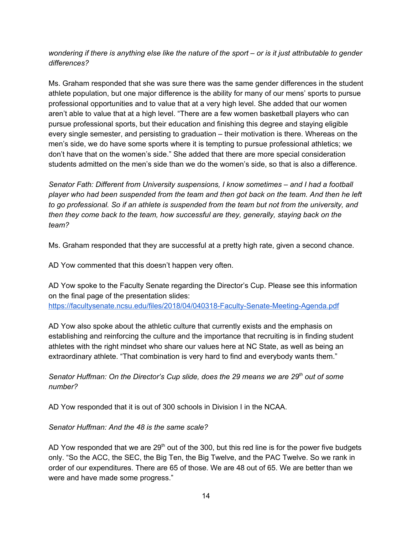wondering if there is anything else like the nature of the sport – or is it just attributable to gender *differences?*

Ms. Graham responded that she was sure there was the same gender differences in the student athlete population, but one major difference is the ability for many of our mens' sports to pursue professional opportunities and to value that at a very high level. She added that our women aren't able to value that at a high level. "There are a few women basketball players who can pursue professional sports, but their education and finishing this degree and staying eligible every single semester, and persisting to graduation – their motivation is there. Whereas on the men's side, we do have some sports where it is tempting to pursue professional athletics; we don't have that on the women's side." She added that there are more special consideration students admitted on the men's side than we do the women's side, so that is also a difference.

*Senator Fath: Different from University suspensions, I know sometimes – and I had a football player who had been suspended from the team and then got back on the team. And then he left to go professional. So if an athlete is suspended from the team but not from the university, and then they come back to the team, how successful are they, generally, staying back on the team?*

Ms. Graham responded that they are successful at a pretty high rate, given a second chance.

AD Yow commented that this doesn't happen very often.

AD Yow spoke to the Faculty Senate regarding the Director's Cup. Please see this information on the final page of the presentation slides: <https://facultysenate.ncsu.edu/files/2018/04/040318-Faculty-Senate-Meeting-Agenda.pdf>

AD Yow also spoke about the athletic culture that currently exists and the emphasis on establishing and reinforcing the culture and the importance that recruiting is in finding student athletes with the right mindset who share our values here at NC State, as well as being an extraordinary athlete. "That combination is very hard to find and everybody wants them."

*Senator Huffman: On the Director's Cup slide, does the 29 means we are 29 th out of some number?*

AD Yow responded that it is out of 300 schools in Division I in the NCAA.

## *Senator Huffman: And the 48 is the same scale?*

AD Yow responded that we are  $29<sup>th</sup>$  out of the 300, but this red line is for the power five budgets only. "So the ACC, the SEC, the Big Ten, the Big Twelve, and the PAC Twelve. So we rank in order of our expenditures. There are 65 of those. We are 48 out of 65. We are better than we were and have made some progress."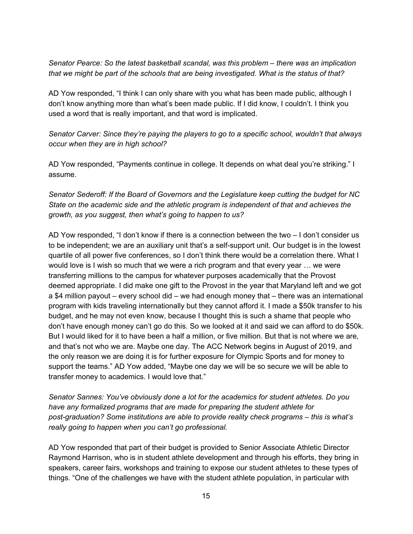*Senator Pearce: So the latest basketball scandal, was this problem – there was an implication that we might be part of the schools that are being investigated. What is the status of that?*

AD Yow responded, "I think I can only share with you what has been made public, although I don't know anything more than what's been made public. If I did know, I couldn't. I think you used a word that is really important, and that word is implicated.

*Senator Carver: Since they're paying the players to go to a specific school, wouldn't that always occur when they are in high school?*

AD Yow responded, "Payments continue in college. It depends on what deal you're striking." I assume.

*Senator Sederoff: If the Board of Governors and the Legislature keep cutting the budget for NC State on the academic side and the athletic program is independent of that and achieves the growth, as you suggest, then what's going to happen to us?*

AD Yow responded, "I don't know if there is a connection between the two – I don't consider us to be independent; we are an auxiliary unit that's a self-support unit. Our budget is in the lowest quartile of all power five conferences, so I don't think there would be a correlation there. What I would love is I wish so much that we were a rich program and that every year … we were transferring millions to the campus for whatever purposes academically that the Provost deemed appropriate. I did make one gift to the Provost in the year that Maryland left and we got a \$4 million payout – every school did – we had enough money that – there was an international program with kids traveling internationally but they cannot afford it. I made a \$50k transfer to his budget, and he may not even know, because I thought this is such a shame that people who don't have enough money can't go do this. So we looked at it and said we can afford to do \$50k. But I would liked for it to have been a half a million, or five million. But that is not where we are, and that's not who we are. Maybe one day. The ACC Network begins in August of 2019, and the only reason we are doing it is for further exposure for Olympic Sports and for money to support the teams." AD Yow added, "Maybe one day we will be so secure we will be able to transfer money to academics. I would love that."

*Senator Sannes: You've obviously done a lot for the academics for student athletes. Do you have any formalized programs that are made for preparing the student athlete for post-graduation? Some institutions are able to provide reality check programs – this is what's really going to happen when you can't go professional.*

AD Yow responded that part of their budget is provided to Senior Associate Athletic Director Raymond Harrison, who is in student athlete development and through his efforts, they bring in speakers, career fairs, workshops and training to expose our student athletes to these types of things. "One of the challenges we have with the student athlete population, in particular with